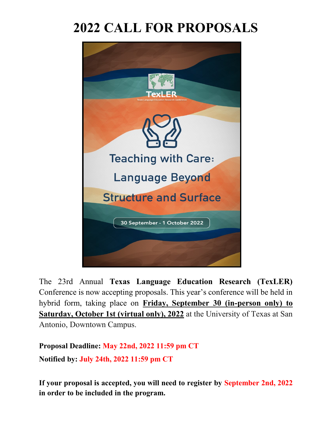# **2022 CALL FOR PROPOSALS**



The 23rd Annual **Texas Language Education Research (TexLER)** Conference is now accepting proposals. This year's conference will be held in hybrid form, taking place on **Friday, September 30 (in-person only) to Saturday, October 1st (virtual only), 2022** at the University of Texas at San Antonio, Downtown Campus.

**Proposal Deadline: May 22nd, 2022 11:59 pm CT Notified by: July 24th, 2022 11:59 pm CT**

**If your proposal is accepted, you will need to register by September 2nd, 2022 in order to be included in the program.**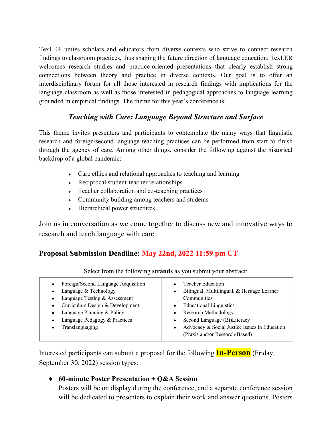TexLER unites scholars and educators from diverse contexts who strive to connect research findings to classroom practices, thus shaping the future direction of language education. TexLER welcomes research studies and practice-oriented presentations that clearly establish strong connections between theory and practice in diverse contexts. Our goal is to offer an interdisciplinary forum for all those interested in research findings with implications for the language classroom as well as those interested in pedagogical approaches to language learning grounded in empirical findings. The theme for this year's conference is:

## *Teaching with Care: Language Beyond Structure and Surface*

This theme invites presenters and participants to contemplate the many ways that linguistic research and foreign/second language teaching practices can be performed from start to finish through the agency of care. Among other things, consider the following against the historical backdrop of a global pandemic:

- Care ethics and relational approaches to teaching and learning
- Reciprocal student-teacher relationships
- Teacher collaboration and co-teaching practices
- Community building among teachers and students
- Hierarchical power structures

Join us in conversation as we come together to discuss new and innovative ways to research and teach language with care.

# **Proposal Submission Deadline: May 22nd, 2022 11:59 pm CT**

| Foreign/Second Language Acquisition<br>Language & Technology<br>Language Testing & Assessment<br>Curriculum Design & Development<br>Language Planning & Policy<br>Language Pedagogy & Practices<br>Translanguaging | Teacher Education<br>Bilingual, Multilingual, & Heritage Learner<br>Communities<br><b>Educational Linguistics</b><br>Research Methodology<br>Second Language (Bi)Literacy<br>Advocacy & Social Justice Issues in Education<br>(Praxis and/or Research-Based) |
|--------------------------------------------------------------------------------------------------------------------------------------------------------------------------------------------------------------------|--------------------------------------------------------------------------------------------------------------------------------------------------------------------------------------------------------------------------------------------------------------|
|--------------------------------------------------------------------------------------------------------------------------------------------------------------------------------------------------------------------|--------------------------------------------------------------------------------------------------------------------------------------------------------------------------------------------------------------------------------------------------------------|

Select from the following **strands** as you submit your abstract:

Interested participants can submit a proposal for the following **In-Person** (Friday, September 30, 2022) session types:

#### ♦ **60-minute Poster Presentation + Q&A Session**

Posters will be on display during the conference, and a separate conference session will be dedicated to presenters to explain their work and answer questions. Posters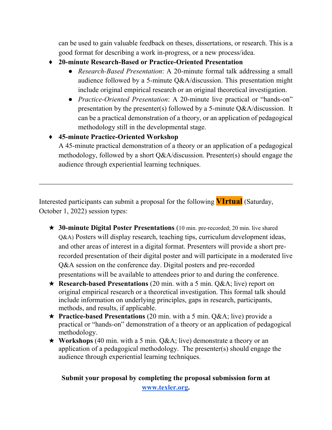can be used to gain valuable feedback on theses, dissertations, or research. This is a good format for describing a work in-progress, or a new process/idea.

- ♦ **20-minute Research-Based or Practice-Oriented Presentation**
	- *Research-Based Presentation*: A 20-minute formal talk addressing a small audience followed by a 5-minute Q&A/discussion. This presentation might include original empirical research or an original theoretical investigation.
	- *Practice-Oriented Presentation*: A 20-minute live practical or "hands-on" presentation by the presenter(s) followed by a 5-minute Q&A/discussion. It can be a practical demonstration of a theory, or an application of pedagogical methodology still in the developmental stage.

### ♦ **45-minute Practice-Oriented Workshop**

A 45-minute practical demonstration of a theory or an application of a pedagogical methodology, followed by a short Q&A/discussion. Presenter(s) should engage the audience through experiential learning techniques.

Interested participants can submit a proposal for the following **VIrtual** (Saturday, October 1, 2022) session types:

- ★ **30-minute Digital Poster Presentations** (10 min. pre-recorded; 20 min. live shared Q&A) Posters will display research, teaching tips, curriculum development ideas, and other areas of interest in a digital format. Presenters will provide a short prerecorded presentation of their digital poster and will participate in a moderated live Q&A session on the conference day. Digital posters and pre-recorded presentations will be available to attendees prior to and during the conference.
- ★ **Research-based Presentations** (20 min. with a 5 min. Q&A; live) report on original empirical research or a theoretical investigation. This formal talk should include information on underlying principles, gaps in research, participants, methods, and results, if applicable.
- ★ **Practice-based Presentations** (20 min. with a 5 min. Q&A; live) provide a practical or "hands-on" demonstration of a theory or an application of pedagogical methodology.
- ★ **Workshops** (40 min. with a 5 min. Q&A; live) demonstrate a theory or an application of a pedagogical methodology. The presenter(s) should engage the audience through experiential learning techniques.

**Submit your proposal by completing the proposal submission form at [www.texler.org.](http://www.texler.org/)**